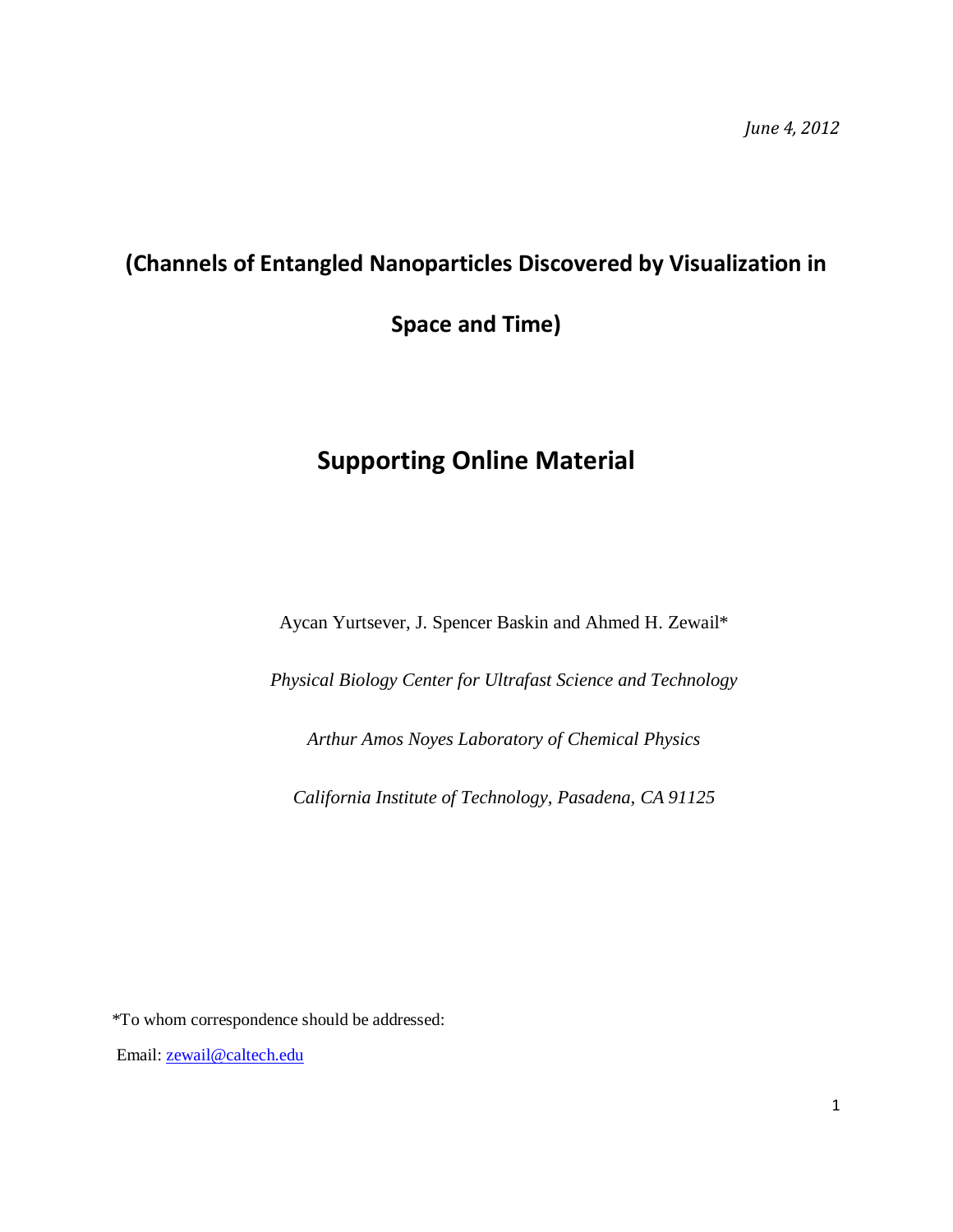## **(Channels of Entangled Nanoparticles Discovered by Visualization in**

**Space and Time)**

# **Supporting Online Material**

Aycan Yurtsever, J. Spencer Baskin and Ahmed H. Zewail\*

*Physical Biology Center for Ultrafast Science and Technology*

*Arthur Amos Noyes Laboratory of Chemical Physics*

*California Institute of Technology, Pasadena, CA 91125*

\*To whom correspondence should be addressed:

Email: [zewail@caltech.edu](mailto:zewail@caltech.edu)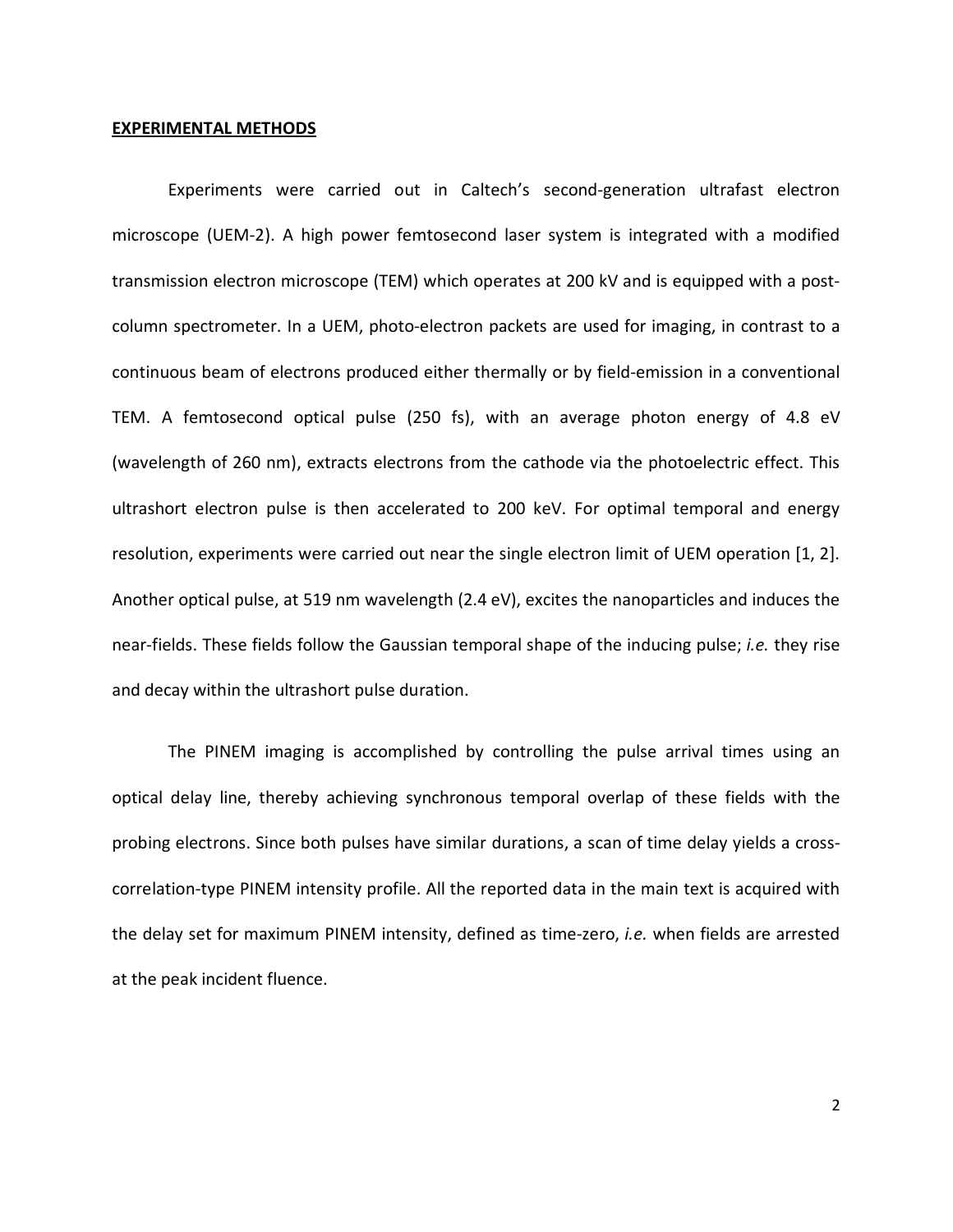#### **EXPERIMENTAL METHODS**

Experiments were carried out in Caltech's second-generation ultrafast electron microscope (UEM-2). A high power femtosecond laser system is integrated with a modified transmission electron microscope (TEM) which operates at 200 kV and is equipped with a postcolumn spectrometer. In a UEM, photo-electron packets are used for imaging, in contrast to a continuous beam of electrons produced either thermally or by field-emission in a conventional TEM. A femtosecond optical pulse (250 fs), with an average photon energy of 4.8 eV (wavelength of 260 nm), extracts electrons from the cathode via the photoelectric effect. This ultrashort electron pulse is then accelerated to 200 keV. For optimal temporal and energy resolution, experiments were carried out near the single electron limit of UEM operation [\[1,](#page-5-0) [2\]](#page-5-1). Another optical pulse, at 519 nm wavelength (2.4 eV), excites the nanoparticles and induces the near-fields. These fields follow the Gaussian temporal shape of the inducing pulse; *i.e.* they rise and decay within the ultrashort pulse duration.

The PINEM imaging is accomplished by controlling the pulse arrival times using an optical delay line, thereby achieving synchronous temporal overlap of these fields with the probing electrons. Since both pulses have similar durations, a scan of time delay yields a crosscorrelation-type PINEM intensity profile. All the reported data in the main text is acquired with the delay set for maximum PINEM intensity, defined as time-zero, *i.e.* when fields are arrested at the peak incident fluence.

2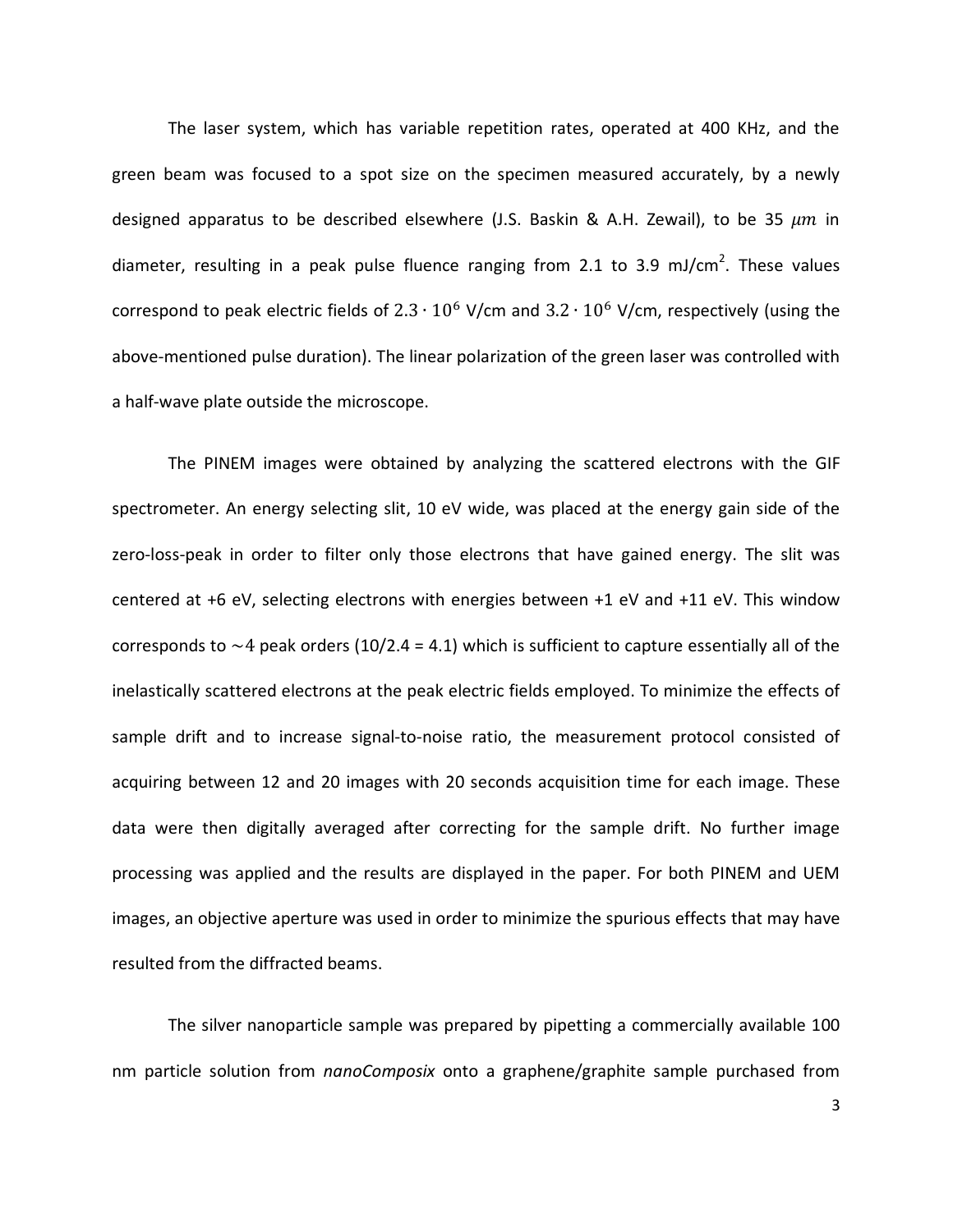The laser system, which has variable repetition rates, operated at 400 KHz, and the green beam was focused to a spot size on the specimen measured accurately, by a newly designed apparatus to be described elsewhere (J.S. Baskin & A.H. Zewail), to be 35  $\mu m$  in diameter, resulting in a peak pulse fluence ranging from 2.1 to 3.9 mJ/cm<sup>2</sup>. These values correspond to peak electric fields of  $2.3 \cdot 10^6$  V/cm and  $3.2 \cdot 10^6$  V/cm, respectively (using the above-mentioned pulse duration). The linear polarization of the green laser was controlled with a half-wave plate outside the microscope.

The PINEM images were obtained by analyzing the scattered electrons with the GIF spectrometer. An energy selecting slit, 10 eV wide, was placed at the energy gain side of the zero-loss-peak in order to filter only those electrons that have gained energy. The slit was centered at +6 eV, selecting electrons with energies between +1 eV and +11 eV. This window corresponds to  $\sim$  4 peak orders (10/2.4 = 4.1) which is sufficient to capture essentially all of the inelastically scattered electrons at the peak electric fields employed. To minimize the effects of sample drift and to increase signal-to-noise ratio, the measurement protocol consisted of acquiring between 12 and 20 images with 20 seconds acquisition time for each image. These data were then digitally averaged after correcting for the sample drift. No further image processing was applied and the results are displayed in the paper. For both PINEM and UEM images, an objective aperture was used in order to minimize the spurious effects that may have resulted from the diffracted beams.

The silver nanoparticle sample was prepared by pipetting a commercially available 100 nm particle solution from *nanoComposix* onto a graphene/graphite sample purchased from

3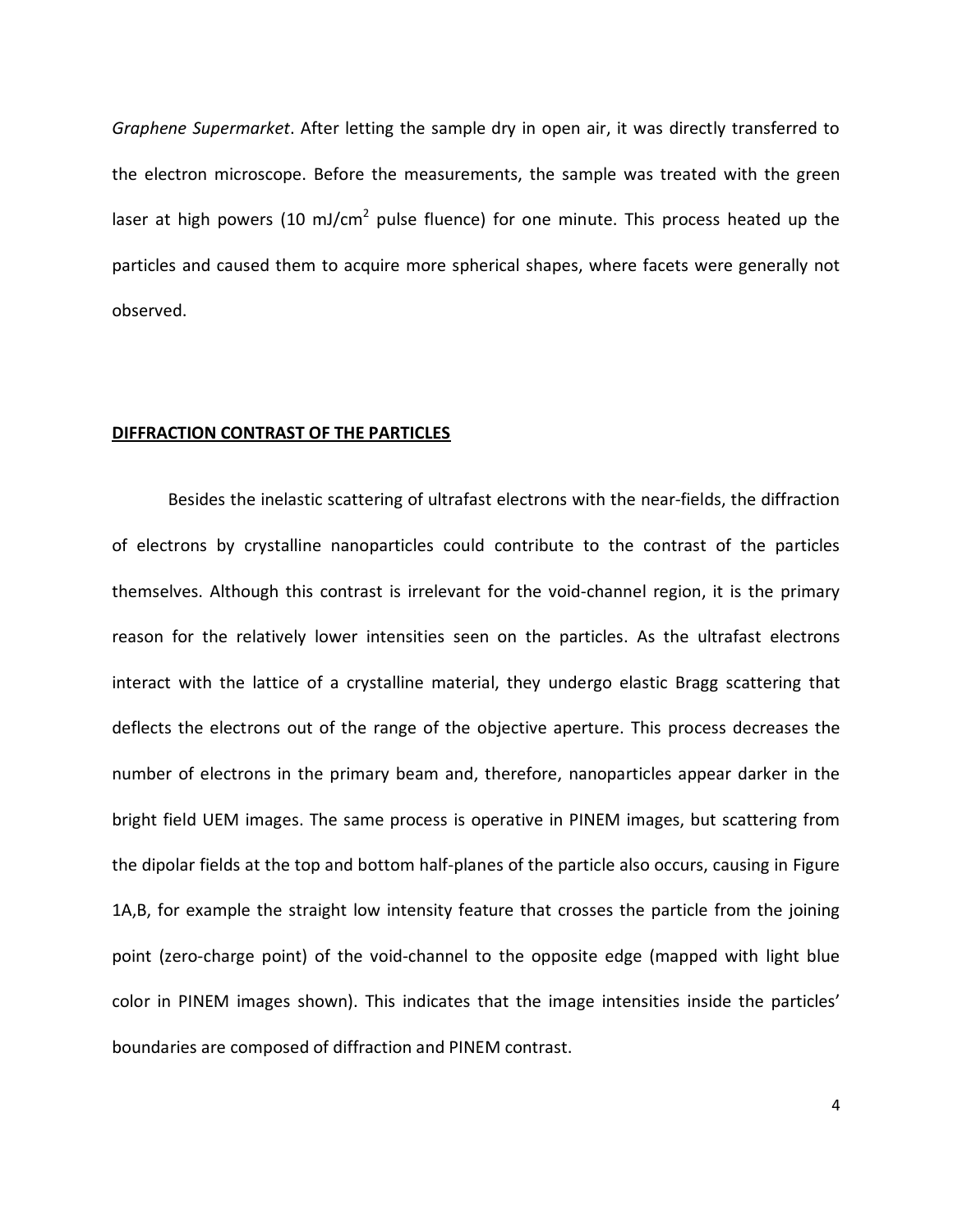*Graphene Supermarket*. After letting the sample dry in open air, it was directly transferred to the electron microscope. Before the measurements, the sample was treated with the green laser at high powers (10 mJ/cm<sup>2</sup> pulse fluence) for one minute. This process heated up the particles and caused them to acquire more spherical shapes, where facets were generally not observed.

#### **DIFFRACTION CONTRAST OF THE PARTICLES**

Besides the inelastic scattering of ultrafast electrons with the near-fields, the diffraction of electrons by crystalline nanoparticles could contribute to the contrast of the particles themselves. Although this contrast is irrelevant for the void-channel region, it is the primary reason for the relatively lower intensities seen on the particles. As the ultrafast electrons interact with the lattice of a crystalline material, they undergo elastic Bragg scattering that deflects the electrons out of the range of the objective aperture. This process decreases the number of electrons in the primary beam and, therefore, nanoparticles appear darker in the bright field UEM images. The same process is operative in PINEM images, but scattering from the dipolar fields at the top and bottom half-planes of the particle also occurs, causing in Figure 1A,B, for example the straight low intensity feature that crosses the particle from the joining point (zero-charge point) of the void-channel to the opposite edge (mapped with light blue color in PINEM images shown). This indicates that the image intensities inside the particles' boundaries are composed of diffraction and PINEM contrast.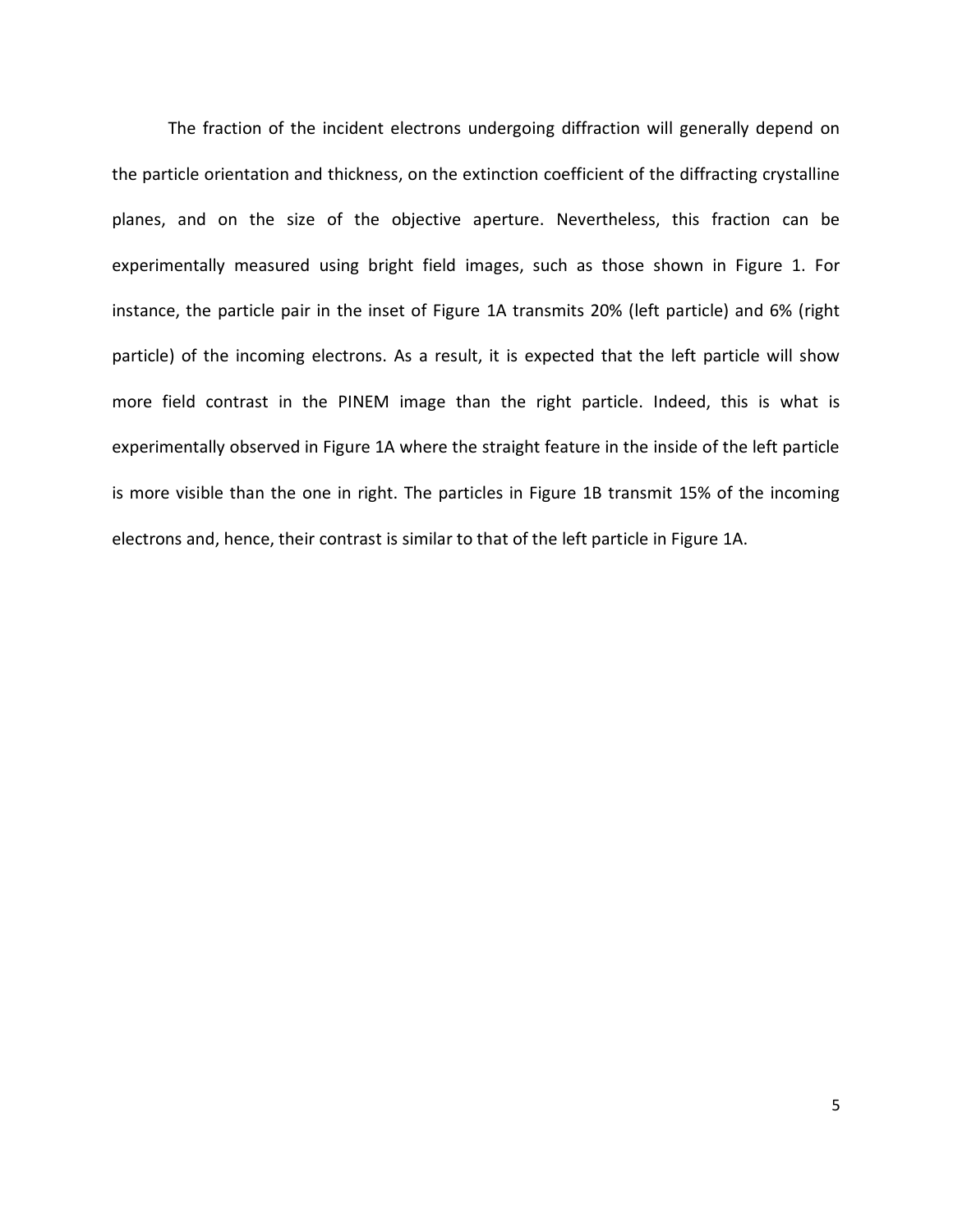The fraction of the incident electrons undergoing diffraction will generally depend on the particle orientation and thickness, on the extinction coefficient of the diffracting crystalline planes, and on the size of the objective aperture. Nevertheless, this fraction can be experimentally measured using bright field images, such as those shown in Figure 1. For instance, the particle pair in the inset of Figure 1A transmits 20% (left particle) and 6% (right particle) of the incoming electrons. As a result, it is expected that the left particle will show more field contrast in the PINEM image than the right particle. Indeed, this is what is experimentally observed in Figure 1A where the straight feature in the inside of the left particle is more visible than the one in right. The particles in Figure 1B transmit 15% of the incoming electrons and, hence, their contrast is similar to that of the left particle in Figure 1A.